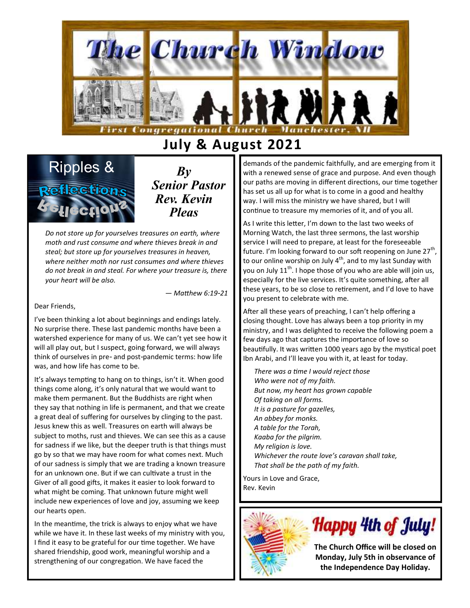

# **July & August 2021**



*By Senior Pastor Rev. Kevin Pleas*

*Do not store up for yourselves treasures on earth, where moth and rust consume and where thieves break in and steal; but store up for yourselves treasures in heaven, where neither moth nor rust consumes and where thieves do not break in and steal. For where your treasure is, there your heart will be also.*

*— Matthew 6:19-21*

Dear Friends,

I've been thinking a lot about beginnings and endings lately. No surprise there. These last pandemic months have been a watershed experience for many of us. We can't yet see how it will all play out, but I suspect, going forward, we will always think of ourselves in pre- and post-pandemic terms: how life was, and how life has come to be.

It's always tempting to hang on to things, isn't it. When good things come along, it's only natural that we would want to make them permanent. But the Buddhists are right when they say that nothing in life is permanent, and that we create a great deal of suffering for ourselves by clinging to the past. Jesus knew this as well. Treasures on earth will always be subject to moths, rust and thieves. We can see this as a cause for sadness if we like, but the deeper truth is that things must go by so that we may have room for what comes next. Much of our sadness is simply that we are trading a known treasure for an unknown one. But if we can cultivate a trust in the Giver of all good gifts, it makes it easier to look forward to what might be coming. That unknown future might well include new experiences of love and joy, assuming we keep our hearts open.

In the meantime, the trick is always to enjoy what we have while we have it. In these last weeks of my ministry with you, I find it easy to be grateful for our time together. We have shared friendship, good work, meaningful worship and a strengthening of our congregation. We have faced the

demands of the pandemic faithfully, and are emerging from it with a renewed sense of grace and purpose. And even though our paths are moving in different directions, our time together has set us all up for what is to come in a good and healthy way. I will miss the ministry we have shared, but I will continue to treasure my memories of it, and of you all.

As I write this letter, I'm down to the last two weeks of Morning Watch, the last three sermons, the last worship service I will need to prepare, at least for the foreseeable future. I'm looking forward to our soft reopening on June 27<sup>th</sup>, to our online worship on July  $4<sup>th</sup>$ , and to my last Sunday with you on July 11<sup>th</sup>. I hope those of you who are able will join us, especially for the live services. It's quite something, after all these years, to be so close to retirement, and I'd love to have you present to celebrate with me.

After all these years of preaching, I can't help offering a closing thought. Love has always been a top priority in my ministry, and I was delighted to receive the following poem a few days ago that captures the importance of love so beautifully. It was written 1000 years ago by the mystical poet Ibn Arabi, and I'll leave you with it, at least for today.

*There was a time I would reject those Who were not of my faith. But now, my heart has grown capable Of taking on all forms. It is a pasture for gazelles, An abbey for monks. A table for the Torah, Kaaba for the pilgrim. My religion is love. Whichever the route love's caravan shall take, That shall be the path of my faith.*

Yours in Love and Grace, Rev. Kevin





**The Church Office will be closed on Monday, July 5th in observance of the Independence Day Holiday.**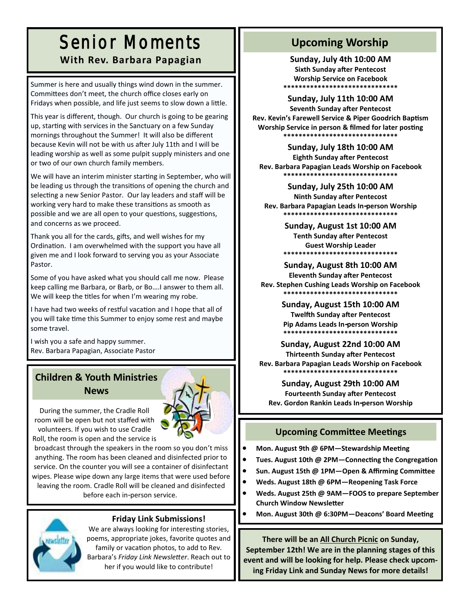# Senior Moments **With Rev. Barbara Papagian II** Sunday, July 4th 10:00 AM

Summer is here and usually things wind down in the summer. Committees don't meet, the church office closes early on Fridays when possible, and life just seems to slow down a little.

This year is different, though. Our church is going to be gearing up, starting with services in the Sanctuary on a few Sunday mornings throughout the Summer! It will also be different because Kevin will not be with us after July 11th and I will be leading worship as well as some pulpit supply ministers and one or two of our own church family members.

We will have an interim minister starting in September, who will be leading us through the transitions of opening the church and selecting a new Senior Pastor. Our lay leaders and staff will be working very hard to make these transitions as smooth as possible and we are all open to your questions, suggestions, and concerns as we proceed.

Thank you all for the cards, gifts, and well wishes for my Ordination. I am overwhelmed with the support you have all given me and I look forward to serving you as your Associate Pastor.

Some of you have asked what you should call me now. Please keep calling me Barbara, or Barb, or Bo….I answer to them all. We will keep the titles for when I'm wearing my robe.

I have had two weeks of restful vacation and I hope that all of you will take time this Summer to enjoy some rest and maybe some travel.

I wish you a safe and happy summer. Rev. Barbara Papagian, Associate Pastor

# **Children & Youth Ministries**

#### **News**



During the summer, the Cradle Roll room will be open but not staffed with volunteers. If you wish to use Cradle Roll, the room is open and the service is

broadcast through the speakers in the room so you don't miss anything. The room has been cleaned and disinfected prior to service. On the counter you will see a container of disinfectant wipes. Please wipe down any large items that were used before leaving the room. Cradle Roll will be cleaned and disinfected

before each in-person service.



## **Friday Link Submissions!**

We are always looking for interesting stories, poems, appropriate jokes, favorite quotes and family or vacation photos, to add to Rev. Barbara's *Friday Link Newsletter*. Reach out to her if you would like to contribute!

## **Upcoming Worship**

**Sixth Sunday after Pentecost Worship Service on Facebook \*\*\*\*\*\*\*\*\*\*\*\*\*\*\*\*\*\*\*\*\*\*\*\*\*\*\*\*\*\***

**Sunday, July 11th 10:00 AM**

**Seventh Sunday after Pentecost Rev. Kevin's Farewell Service & Piper Goodrich Baptism Worship Service in person & filmed for later posting \*\*\*\*\*\*\*\*\*\*\*\*\*\*\*\*\*\*\*\*\*\*\*\*\*\*\*\*\*\***

**Sunday, July 18th 10:00 AM**

**Eighth Sunday after Pentecost Rev. Barbara Papagian Leads Worship on Facebook \*\*\*\*\*\*\*\*\*\*\*\*\*\*\*\*\*\*\*\*\*\*\*\*\*\*\*\*\*\***

#### **Sunday, July 25th 10:00 AM**

**Ninth Sunday after Pentecost Rev. Barbara Papagian Leads In-person Worship \*\*\*\*\*\*\*\*\*\*\*\*\*\*\*\*\*\*\*\*\*\*\*\*\*\*\*\*\*\***

## **Sunday, August 1st 10:00 AM**

**Tenth Sunday after Pentecost Guest Worship Leader \*\*\*\*\*\*\*\*\*\*\*\*\*\*\*\*\*\*\*\*\*\*\*\*\*\*\*\*\*\***

#### **Sunday, August 8th 10:00 AM**

**Eleventh Sunday after Pentecost Rev. Stephen Cushing Leads Worship on Facebook \*\*\*\*\*\*\*\*\*\*\*\*\*\*\*\*\*\*\*\*\*\*\*\*\*\*\*\*\*\***

**Sunday, August 15th 10:00 AM**

**Twelfth Sunday after Pentecost Pip Adams Leads In-person Worship \*\*\*\*\*\*\*\*\*\*\*\*\*\*\*\*\*\*\*\*\*\*\*\*\*\*\*\*\*\***

#### **Sunday, August 22nd 10:00 AM Thirteenth Sunday after Pentecost Rev. Barbara Papagian Leads Worship on Facebook \*\*\*\*\*\*\*\*\*\*\*\*\*\*\*\*\*\*\*\*\*\*\*\*\*\*\*\*\*\***

## **Sunday, August 29th 10:00 AM**

**Fourteenth Sunday after Pentecost Rev. Gordon Rankin Leads In-person Worship**

## **Upcoming Committee Meetings**

- **Mon. August 9th @ 6PM—Stewardship Meeting**
- **Tues. August 10th @ 2PM—Connecting the Congregation**
- **Sun. August 15th @ 1PM—Open & Affirming Committee**
- **Weds. August 18th @ 6PM—Reopening Task Force**
- **Weds. August 25th @ 9AM—FOOS to prepare September Church Window Newsletter**
- **Mon. August 30th @ 6:30PM—Deacons' Board Meeting**

**There will be an All Church Picnic on Sunday, September 12th! We are in the planning stages of this event and will be looking for help. Please check upcoming Friday Link and Sunday News for more details!**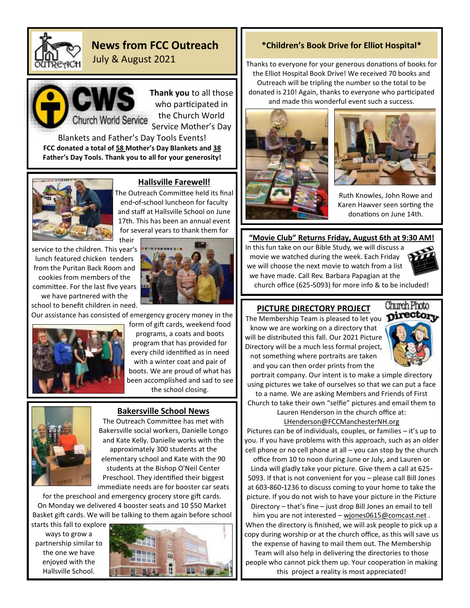

## **News from FCC Outreach**

July & August 2021



**Thank you** to all those who participated in the Church World Service Mother's Day

Blankets and Father's Day Tools Events! **FCC donated a total of 58 Mother's Day Blankets and 38 Father's Day Tools. Thank you to all for your generosity!**



#### **Hallsville Farewell!**

The Outreach Committee held its final end-of-school luncheon for faculty and staff at Hallsville School on June 17th. This has been an annual event for several years to thank them for

service to the children. This year's lunch featured chicken tenders from the Puritan Back Room and cookies from members of the committee. For the last five years we have partnered with the school to benefit children in need.



Our assistance has consisted of emergency grocery money in the

their



form of gift cards, weekend food programs, a coats and boots program that has provided for every child identified as in need with a winter coat and pair of boots. We are proud of what has been accomplished and sad to see the school closing.



#### **Bakersville School News**

The Outreach Committee has met with Bakersville social workers, Danielle Longo and Kate Kelly. Danielle works with the approximately 300 students at the elementary school and Kate with the 90 students at the Bishop O'Neil Center Preschool. They identified their biggest immediate needs are for booster car seats

for the preschool and emergency grocery store gift cards. On Monday we delivered 4 booster seats and 10 \$50 Market Basket gift cards. We will be talking to them again before school

starts this fall to explore ways to grow a partnership similar to the one we have enjoyed with the Hallsville School.



#### **\*Children's Book Drive for Elliot Hospital\***

Thanks to everyone for your generous donations of books for the Elliot Hospital Book Drive! We received 70 books and Outreach will be tripling the number so the total to be donated is 210! Again, thanks to everyone who participated and made this wonderful event such a success.





Ruth Knowles, John Rowe and Karen Hawver seen sorting the donations on June 14th.

#### **"Movie Club" Returns Friday, August 6th at 9:30 AM!**

In this fun take on our Bible Study, we will discuss a movie we watched during the week. Each Friday we will choose the next movie to watch from a list we have made. Call Rev. Barbara Papagian at the church office (625-5093) for more info & to be included!



#### **PICTURE DIRECTORY PROJECT**

The Membership Team is pleased to let you **pirectory** know we are working on a directory that will be distributed this fall. Our 2021 Picture Directory will be a much less formal project, not something where portraits are taken and you can then order prints from the



portrait company. Our intent is to make a simple directory using pictures we take of ourselves so that we can put a face to a name. We are asking Members and Friends of First Church to take their own "selfie" pictures and email them to Lauren Henderson in the church office at:

[LHenderson@FCCManchesterNH.org](mailto:lhendersonFCC@yahoo.com)

Pictures can be of individuals, couples, or families – it's up to you. If you have problems with this approach, such as an older cell phone or no cell phone at all – you can stop by the church office from 10 to noon during June or July, and Lauren or Linda will gladly take your picture. Give them a call at 625- 5093. If that is not convenient for you – please call Bill Jones at 603-860-1236 to discuss coming to your home to take the picture. If you do not wish to have your picture in the Picture Directory – that's fine – just drop Bill Jones an email to tell him you are not interested - [wjones0615@comcast.net](mailto:wjones0615@comcast.net).

When the directory is finished, we will ask people to pick up a copy during worship or at the church office, as this will save us the expense of having to mail them out. The Membership

Team will also help in delivering the directories to those people who cannot pick them up. Your cooperation in making this project a reality is most appreciated!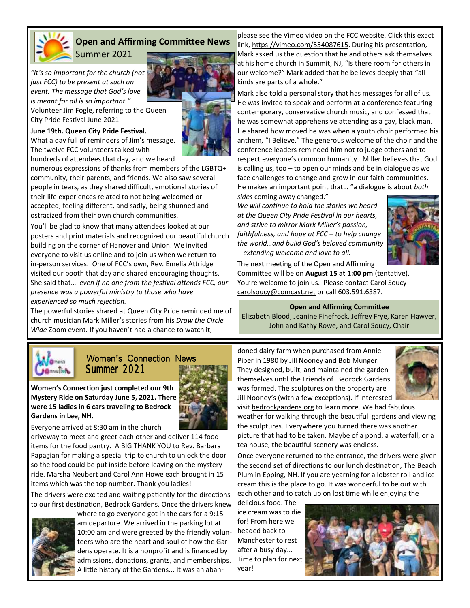

## **Open and Affirming Committee News**

Summer 2021

*"It's so important for the church (not just FCC) to be present at such an event. The message that God's love is meant for all is so important."*

Volunteer Jim Fogle, referring to the Queen City Pride Festival June 2021

#### **June 19th. Queen City Pride Festival.**

What a day full of reminders of Jim's message. The twelve FCC volunteers talked with hundreds of attendees that day, and we heard

numerous expressions of thanks from members of the LGBTQ+ community, their parents, and friends. We also saw several people in tears, as they shared difficult, emotional stories of their life experiences related to not being welcomed or accepted, feeling different, and sadly, being shunned and ostracized from their own church communities.

You'll be glad to know that many attendees looked at our posters and print materials and recognized our beautiful church building on the corner of Hanover and Union. We invited everyone to visit us online and to join us when we return to in-person services. One of FCC's own, Rev. Emelia Attridge visited our booth that day and shared encouraging thoughts. She said that… *even if no one from the festival attends FCC, our presence was a powerful ministry to those who have experienced so much rejection.*

The powerful stories shared at Queen City Pride reminded me of church musician Mark Miller's stories from his *Draw the Circle Wide* Zoom event. If you haven't had a chance to watch it,



please see the Vimeo video on the FCC website. Click this exact link, [https://vimeo.com/554087615.](https://vimeo.com/554087615) During his presentation, Mark asked us the question that he and others ask themselves at his home church in Summit, NJ, "Is there room for others in our welcome?" Mark added that he believes deeply that "all kinds are parts of a whole."

Mark also told a personal story that has messages for all of us. He was invited to speak and perform at a conference featuring contemporary, conservative church music, and confessed that he was somewhat apprehensive attending as a gay, black man. He shared how moved he was when a youth choir performed his anthem, "I Believe." The generous welcome of the choir and the conference leaders reminded him not to judge others and to respect everyone's common humanity. Miller believes that God is calling us, too – to open our minds and be in dialogue as we face challenges to change and grow in our faith communities. He makes an important point that… "a dialogue is about *both* 

*sides* coming away changed." *We will continue to hold the stories we heard at the Queen City Pride Festival in our hearts, and strive to mirror Mark Miller's passion, faithfulness, and hope at FCC – to help change the world…and build God's beloved community - extending welcome and love to all.* 



The next meeting of the Open and Affirming Committee will be on **August 15 at 1:00 pm** (tentative). You're welcome to join us. Please contact Carol Soucy [carolsoucy@comcast.net](mailto:carolsoucy@comcast.net) or call 603.591.6387.

#### **Open and Affirming Committee**

Elizabeth Blood, Jeanine Finefrock, Jeffrey Frye, Karen Hawver, John and Kathy Rowe, and Carol Soucy, Chair



## Women's Connection News Summer 2021

**Women's Connection just completed our 9th Mystery Ride on Saturday June 5, 2021. There were 15 ladies in 6 cars traveling to Bedrock Gardens in Lee, NH.**



Everyone arrived at 8:30 am in the church

driveway to meet and greet each other and deliver 114 food items for the food pantry. A BIG THANK YOU to Rev. Barbara Papagian for making a special trip to church to unlock the door so the food could be put inside before leaving on the mystery ride. Marsha Neubert and Carol Ann Howe each brought in 15 items which was the top number. Thank you ladies!

The drivers were excited and waiting patiently for the directions to our first destination, [Bedrock Gardens.](https://r20.rs6.net/tn.jsp?f=001SvDYbnaxWZeu2lmR2bVUVVKs5JbCrCzBGo41n8DjLByAlD-J4dK8EZieB3tDWXcVlRLrAjbdg0uoRX5O4V7zFB4KP143m1EMMXcLrh_iOzKWuyoYWfjJhLE-9fRnwr-mqC2__z0bpHFpvdYYyaQJW8Ne9nuVwLwT&c=7fYh9UGhlQp64w9h-MprRK4Qp47LPeYlcRTsAzgt_idffd1c_Uo-bg==&ch=GBnM) Once the drivers knew



where to go everyone got in the cars for a 9:15 am departure. We arrived in the parking lot at 10:00 am and were greeted by the friendly volunteers who are the heart and soul of how the Gardens operate. It is a nonprofit and is financed by admissions, donations, grants, and memberships. A little history of the Gardens... It was an abandoned dairy farm when purchased from Annie Piper in 1980 by Jill Nooney and Bob Munger. They designed, built, and maintained the garden themselves until the Friends of Bedrock Gardens was formed. The sculptures on the property are Jill Nooney's (with a few exceptions). If interested



visit bedrockgardens.org to learn more. We had fabulous weather for walking through the beautiful gardens and viewing the sculptures. Everywhere you turned there was another picture that had to be taken. Maybe of a pond, a waterfall, or a tea house, the beautiful scenery was endless.

Once everyone returned to the entrance, the drivers were given the second set of directions to our lunch destination, The [Beach](https://r20.rs6.net/tn.jsp?f=001SvDYbnaxWZeu2lmR2bVUVVKs5JbCrCzBGo41n8DjLByAlD-J4dK8EZieB3tDWXcVYMV_PSjHe53mYuhuQ1rDB6iaQkyXAB39mvYEkZPHyBr8KiRIKpimLeQIXvbMdvoXeB04oaDZCmDh8elTS3hbGz0XBS3_NGjG&c=7fYh9UGhlQp64w9h-MprRK4Qp47LPeYlcRTsAzgt_idffd1c_Uo-bg==&ch=GBnM)  [Plum](https://r20.rs6.net/tn.jsp?f=001SvDYbnaxWZeu2lmR2bVUVVKs5JbCrCzBGo41n8DjLByAlD-J4dK8EZieB3tDWXcVYMV_PSjHe53mYuhuQ1rDB6iaQkyXAB39mvYEkZPHyBr8KiRIKpimLeQIXvbMdvoXeB04oaDZCmDh8elTS3hbGz0XBS3_NGjG&c=7fYh9UGhlQp64w9h-MprRK4Qp47LPeYlcRTsAzgt_idffd1c_Uo-bg==&ch=GBnM) in Epping, NH. If you are yearning for a lobster roll and ice cream this is the place to go. It was wonderful to be out with each other and to catch up on lost time while enjoying the

delicious food. The ice cream was to die for! From here we headed back to Manchester to rest after a busy day... Time to plan for next year!

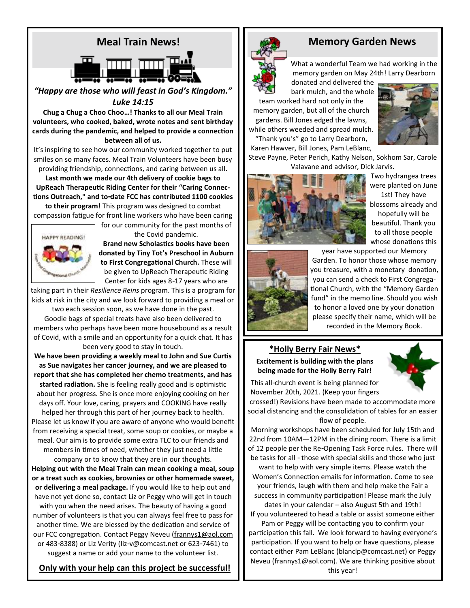

*"Happy are those who will feast in God's Kingdom." Luke 14:15*

**Chug a Chug a Choo Choo…! Thanks to all our Meal Train volunteers, who cooked, baked, wrote notes and sent birthday cards during the pandemic, and helped to provide a connection between all of us.**

It's inspiring to see how our community worked together to put smiles on so many faces. Meal Train Volunteers have been busy providing friendship, connections, and caring between us all.

**Last month we made our 4th delivery of cookie bags to UpReach Therapeutic Riding Center for their "Caring Connections Outreach," and to-date FCC has contributed 1100 cookies** 

**to their program!** This program was designed to combat compassion fatigue for front line workers who have been caring

for our community for the past months of



the Covid pandemic.

**Brand new Scholastics books have been donated by Tiny Tot's Preschool in Auburn to First Congregational Church.** These will be given to UpReach Therapeutic Riding Center for kids ages 8-17 years who are

taking part in their *Resilience Reins* program. This is a program for kids at risk in the city and we look forward to providing a meal or

two each session soon, as we have done in the past. Goodie bags of special treats have also been delivered to members who perhaps have been more housebound as a result of Covid, with a smile and an opportunity for a quick chat. It has been very good to stay in touch.

**We have been providing a weekly meal to John and Sue Curtis as Sue navigates her cancer journey, and we are pleased to report that she has completed her chemo treatments, and has started radiation.** She is feeling really good and is optimistic about her progress. She is once more enjoying cooking on her days off. Your love, caring, prayers and COOKING have really helped her through this part of her journey back to health. Please let us know if you are aware of anyone who would benefit from receiving a special treat, some soup or cookies, or maybe a meal. Our aim is to provide some extra TLC to our friends and members in times of need, whether they just need a little company or to know that they are in our thoughts. **Helping out with the Meal Train can mean cooking a meal, soup or a treat such as cookies, brownies or other homemade sweet, or delivering a meal package.** If you would like to help out and have not yet done so, contact Liz or Peggy who will get in touch with you when the need arises. The beauty of having a good number of volunteers is that you can always feel free to pass for another time. We are blessed by the dedication and service of our FCC congregation. Contact Peggy Neveu (frannys1@aol.com or 483-8388) or Liz Verity [\(liz-v@comcast.net](mailto:liz-v@comcast.net) or 623-7461) to suggest a name or add your name to the volunteer list.

 **Only with your help can this project be successful!** 



## **Memory Garden News**

What a wonderful Team we had working in the memory garden on May 24th! Larry Dearborn

donated and delivered the bark mulch, and the whole

team worked hard not only in the memory garden, but all of the church gardens. Bill Jones edged the lawns, while others weeded and spread mulch. "Thank you's" go to Larry Dearborn,

Karen Hawver, Bill Jones, Pam LeBlanc,



Steve Payne, Peter Perich, Kathy Nelson, Sokhom Sar, Carole Valavane and advisor, Dick Jarvis.



Two hydrangea trees were planted on June

1st! They have blossoms already and hopefully will be beautiful. Thank you to all those people whose donations this



year have supported our Memory Garden. To honor those whose memory you treasure, with a monetary donation, you can send a check to First Congregational Church, with the "Memory Garden fund" in the memo line. Should you wish to honor a loved one by your donation please specify their name, which will be recorded in the Memory Book.

**\*Holly Berry Fair News\* Excitement is building with the plans being made for the Holly Berry Fair!** 



This all-church event is being planned for November 20th, 2021. (Keep your fingers

crossed!) Revisions have been made to accommodate more social distancing and the consolidation of tables for an easier flow of people.

Morning workshops have been scheduled for July 15th and 22nd from 10AM—12PM in the dining room. There is a limit of 12 people per the Re-Opening Task Force rules. There will be tasks for all - those with special skills and those who just

want to help with very simple items. Please watch the Women's Connection emails for information. Come to see your friends, laugh with them and help make the Fair a success in community participation! Please mark the July

dates in your calendar – also August 5th and 19th! If you volunteered to head a table or assist someone either

Pam or Peggy will be contacting you to confirm your participation this fall. We look forward to having everyone's participation. If you want to help or have questions, please contact either Pam LeBlanc (blanclp@comcast.net) or Peggy Neveu ([frannys1@aol.com\)](mailto:frannys1@aol.com). We are thinking positive about this year!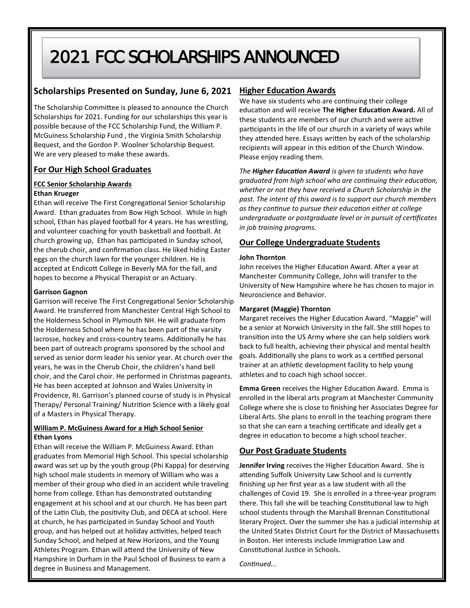# 2021 FCC SCHOLARSHIPS ANNOUNCED

### **Scholarships Presented on Sunday, June 6, 2021**

The Scholarship Committee is pleased to announce the Church Scholarships for 2021. Funding for our scholarships this year is possible because of the FCC Scholarship Fund, the William P. McGuiness Scholarship Fund , the Virginia Smith Scholarship Bequest, and the Gordon P. Woolner Scholarship Bequest. We are very pleased to make these awards.

#### **For Our High School Graduates**

#### **FCC Senior Scholarship Awards**

#### **Ethan Krueger**

Ethan will receive The First Congregational Senior Scholarship Award. Ethan graduates from Bow High School. While in high school, Ethan has played football for 4 years. He has wrestling, and volunteer coaching for youth basketball and football. At church growing up, Ethan has participated in Sunday school, the cherub choir, and confirmation class. He liked hiding Easter eggs on the church lawn for the younger children. He is accepted at Endicott College in Beverly MA for the fall, and hopes to become a Physical Therapist or an Actuary.

#### **Garrison Gagnon**

Garrison will receive The First Congregational Senior Scholarship Award. He transferred from Manchester Central High School to the Holderness School in Plymouth NH. He will graduate from the Holderness School where he has been part of the varsity lacrosse, hockey and cross-country teams. Additionally he has been part of outreach programs sponsored by the school and served as senior dorm leader his senior year. At church over the years, he was in the Cherub Choir, the children's hand bell choir, and the Carol choir. He performed in Christmas pageants. He has been accepted at Johnson and Wales University in Providence, RI. Garrison's planned course of study is in Physical Therapy/ Personal Training/ Nutrition Science with a likely goal of a Masters in Physical Therapy.

#### **William P. McGuiness Award for a High School Senior Ethan Lyons**

Ethan will receive the William P. McGuiness Award. Ethan graduates from Memorial High School. This special scholarship award was set up by the youth group (Phi Kappa) for deserving high school male students in memory of William who was a member of their group who died in an accident while traveling home from college. Ethan has demonstrated outstanding engagement at his school and at our church. He has been part of the Latin Club, the positivity Club, and DECA at school. Here at church, he has participated in Sunday School and Youth group, and has helped out at holiday activities, helped teach Sunday School, and helped at New Horizons, and the Young Athletes Program. Ethan will attend the University of New Hampshire in Durham in the Paul School of Business to earn a degree in Business and Management.

#### **Higher Education Awards**

We have six students who are continuing their college education and will receive **The Higher Education Award.** All of these students are members of our church and were active participants in the life of our church in a variety of ways while they attended here. Essays written by each of the scholarship recipients will appear in this edition of the Church Window. Please enjoy reading them.

*The Higher Education Award is given to students who have graduated from high school who are continuing their education, whether or not they have received a Church Scholarship in the past. The intent of this award is to support our church members as they continue to pursue their education either at college undergraduate or postgraduate level or in pursuit of certificates in job training programs.*

#### **Our College Undergraduate Students**

#### **John Thornton**

John receives the Higher Education Award. After a year at Manchester Community College, John will transfer to the University of New Hampshire where he has chosen to major in Neuroscience and Behavior.

#### **Margaret (Maggie) Thornton**

Margaret receives the Higher Education Award. "Maggie" will be a senior at Norwich University in the fall. She still hopes to transition into the US Army where she can help soldiers work back to full health, achieving their physical and mental health goals. Additionally she plans to work as a certified personal trainer at an athletic development facility to help young athletes and to coach high school soccer.

**Emma Green** receives the Higher Education Award. Emma is enrolled in the liberal arts program at Manchester Community College where she is close to finishing her Associates Degree for Liberal Arts. She plans to enroll in the teaching program there so that she can earn a teaching certificate and ideally get a degree in education to become a high school teacher.

#### **Our Post Graduate Students**

**Jennifer Irving** receives the Higher Education Award. She is attending Suffolk University Law School and is currently finishing up her first year as a law student with all the challenges of Covid 19. She is enrolled in a three-year program there. This fall she will be teaching Constitutional law to high school students through the Marshall Brennan Constitutional literary Project. Over the summer she has a judicial internship at the United States District Court for the District of Massachusetts in Boston. Her interests include Immigration Law and Constitutional Justice in Schools.

*Continued...*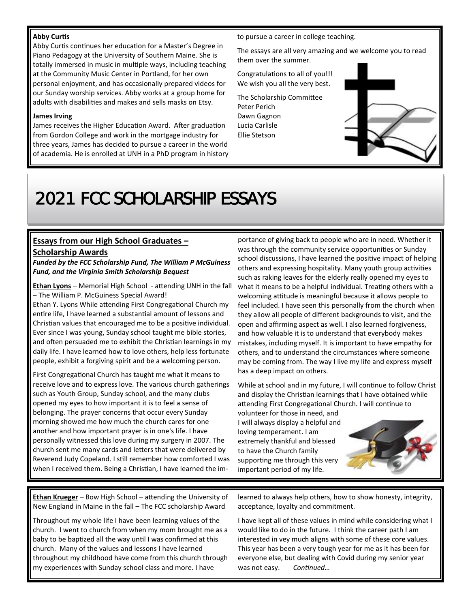#### **Abby Curtis**

Abby Curtis continues her education for a Master's Degree in Piano Pedagogy at the University of Southern Maine. She is totally immersed in music in multiple ways, including teaching at the Community Music Center in Portland, for her own personal enjoyment, and has occasionally prepared videos for our Sunday worship services. Abby works at a group home for adults with disabilities and makes and sells masks on Etsy.

#### **James Irving**

James receives the Higher Education Award. After graduation from Gordon College and work in the mortgage industry for three years, James has decided to pursue a career in the world of academia. He is enrolled at UNH in a PhD program in history to pursue a career in college teaching.

The essays are all very amazing and we welcome you to read them over the summer.

Congratulations to all of you!!! We wish you all the very best.

The Scholarship Committee Peter Perich Dawn Gagnon Lucia Carlisle Ellie Stetson



# 2021 FCC SCHOLARSHIP ESSAYS

#### **Essays from our High School Graduates – Scholarship Awards**

*Funded by the FCC Scholarship Fund, The William P McGuiness Fund, and the Virginia Smith Scholarship Bequest*

**Ethan Lyons** – Memorial High School - attending UNH in the fall – The William P. McGuiness Special Award!

Ethan Y. Lyons While attending First Congregational Church my entire life, I have learned a substantial amount of lessons and Christian values that encouraged me to be a positive individual. Ever since I was young, Sunday school taught me bible stories, and often persuaded me to exhibit the Christian learnings in my daily life. I have learned how to love others, help less fortunate people, exhibit a forgiving spirit and be a welcoming person.

First Congregational Church has taught me what it means to receive love and to express love. The various church gatherings such as Youth Group, Sunday school, and the many clubs opened my eyes to how important it is to feel a sense of belonging. The prayer concerns that occur every Sunday morning showed me how much the church cares for one another and how important prayer is in one's life. I have personally witnessed this love during my surgery in 2007. The church sent me many cards and letters that were delivered by Reverend Judy Copeland. I still remember how comforted I was when I received them. Being a Christian, I have learned the im-

portance of giving back to people who are in need. Whether it was through the community service opportunities or Sunday school discussions, I have learned the positive impact of helping others and expressing hospitality. Many youth group activities such as raking leaves for the elderly really opened my eyes to what it means to be a helpful individual. Treating others with a welcoming attitude is meaningful because it allows people to feel included. I have seen this personally from the church when they allow all people of different backgrounds to visit, and the open and affirming aspect as well. I also learned forgiveness, and how valuable it is to understand that everybody makes mistakes, including myself. It is important to have empathy for others, and to understand the circumstances where someone may be coming from. The way I live my life and express myself has a deep impact on others.

While at school and in my future, I will continue to follow Christ and display the Christian learnings that I have obtained while attending First Congregational Church. I will continue to

volunteer for those in need, and I will always display a helpful and loving temperament. I am extremely thankful and blessed to have the Church family supporting me through this very important period of my life.



**Ethan Krueger** – Bow High School – attending the University of New England in Maine in the fall – The FCC scholarship Award

Throughout my whole life I have been learning values of the church. I went to church from when my mom brought me as a baby to be baptized all the way until I was confirmed at this church. Many of the values and lessons I have learned throughout my childhood have come from this church through my experiences with Sunday school class and more. I have

learned to always help others, how to show honesty, integrity, acceptance, loyalty and commitment.

I have kept all of these values in mind while considering what I would like to do in the future. I think the career path I am interested in vey much aligns with some of these core values. This year has been a very tough year for me as it has been for everyone else, but dealing with Covid during my senior year was not easy. *Continued…*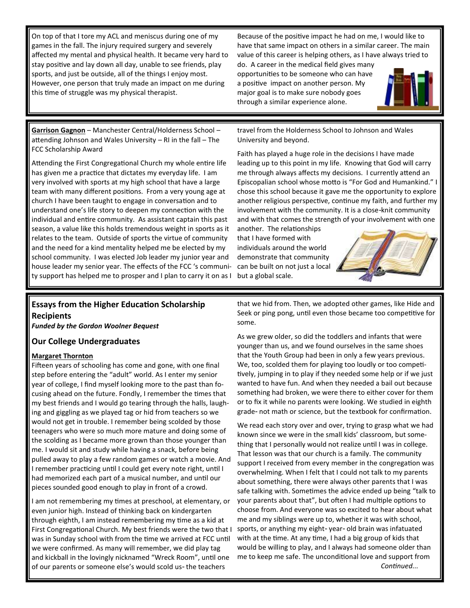On top of that I tore my ACL and meniscus during one of my games in the fall. The injury required surgery and severely affected my mental and physical health. It became very hard to stay positive and lay down all day, unable to see friends, play sports, and just be outside, all of the things I enjoy most. However, one person that truly made an impact on me during this time of struggle was my physical therapist.

Because of the positive impact he had on me, I would like to have that same impact on others in a similar career. The main value of this career is helping others, as I have always tried to

do. A career in the medical field gives many opportunities to be someone who can have a positive impact on another person. My major goal is to make sure nobody goes through a similar experience alone.



**Garrison Gagnon** – Manchester Central/Holderness School – attending Johnson and Wales University – RI in the fall – The FCC Scholarship Award

Attending the First Congregational Church my whole entire life has given me a practice that dictates my everyday life. I am very involved with sports at my high school that have a large team with many different positions. From a very young age at church I have been taught to engage in conversation and to understand one's life story to deepen my connection with the individual and entire community. As assistant captain this past season, a value like this holds tremendous weight in sports as it relates to the team. Outside of sports the virtue of community and the need for a kind mentality helped me be elected by my school community. I was elected Job leader my junior year and house leader my senior year. The effects of the FCC 's community support has helped me to prosper and I plan to carry it on as I

travel from the Holderness School to Johnson and Wales University and beyond.

Faith has played a huge role in the decisions I have made leading up to this point in my life. Knowing that God will carry me through always affects my decisions. I currently attend an Episcopalian school whose motto is "For God and Humankind." I chose this school because it gave me the opportunity to explore another religious perspective, continue my faith, and further my involvement with the community. It is a close-knit community and with that comes the strength of your involvement with one

another. The relationships that I have formed with individuals around the world demonstrate that community can be built on not just a local but a global scale.



## **Essays from the Higher Education Scholarship Recipients**

*Funded by the Gordon Woolner Bequest*

#### **Our College Undergraduates**

#### **Margaret Thornton**

Fifteen years of schooling has come and gone, with one final step before entering the "adult" world. As I enter my senior year of college, I find myself looking more to the past than focusing ahead on the future. Fondly, I remember the times that my best friends and I would go tearing through the halls, laughing and giggling as we played tag or hid from teachers so we would not get in trouble. I remember being scolded by those teenagers who were so much more mature and doing some of the scolding as I became more grown than those younger than me. I would sit and study while having a snack, before being pulled away to play a few random games or watch a movie. And I remember practicing until I could get every note right, until I had memorized each part of a musical number, and until our pieces sounded good enough to play in front of a crowd.

I am not remembering my times at preschool, at elementary, or even junior high. Instead of thinking back on kindergarten through eighth, I am instead remembering my time as a kid at First Congregational Church. My best friends were the two that I was in Sunday school with from the time we arrived at FCC until we were confirmed. As many will remember, we did play tag and kickball in the lovingly nicknamed "Wreck Room", until one of our parents or someone else's would scold us- the teachers

that we hid from. Then, we adopted other games, like Hide and Seek or ping pong, until even those became too competitive for some.

As we grew older, so did the toddlers and infants that were younger than us, and we found ourselves in the same shoes that the Youth Group had been in only a few years previous. We, too, scolded them for playing too loudly or too competitively, jumping in to play if they needed some help or if we just wanted to have fun. And when they needed a bail out because something had broken, we were there to either cover for them or to fix it while no parents were looking. We studied in eighth grade- not math or science, but the textbook for confirmation.

We read each story over and over, trying to grasp what we had known since we were in the small kids' classroom, but something that I personally would not realize until I was in college. That lesson was that our church is a family. The community support I received from every member in the congregation was overwhelming. When I felt that I could not talk to my parents about something, there were always other parents that I was safe talking with. Sometimes the advice ended up being "talk to your parents about that", but often I had multiple options to choose from. And everyone was so excited to hear about what me and my siblings were up to, whether it was with school, sports, or anything my eight- year- old brain was infatuated with at the time. At any time, I had a big group of kids that would be willing to play, and I always had someone older than me to keep me safe. The unconditional love and support from *Continued...*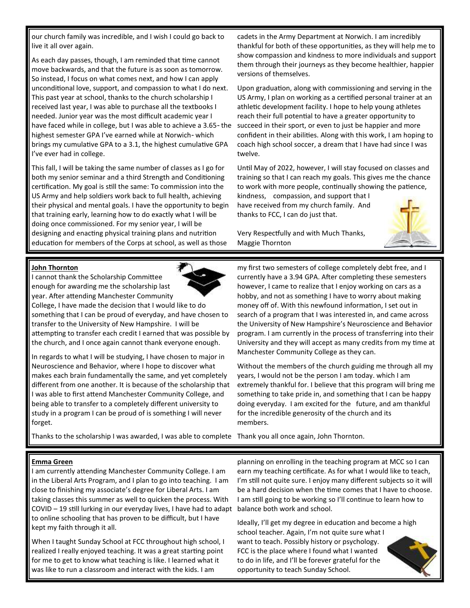our church family was incredible, and I wish I could go back to live it all over again.

As each day passes, though, I am reminded that time cannot move backwards, and that the future is as soon as tomorrow. So instead, I focus on what comes next, and how I can apply unconditional love, support, and compassion to what I do next. This past year at school, thanks to the church scholarship I received last year, I was able to purchase all the textbooks I needed. Junior year was the most difficult academic year I have faced while in college, but I was able to achieve a 3.65- the highest semester GPA I've earned while at Norwich- which brings my cumulative GPA to a 3.1, the highest cumulative GPA I've ever had in college.

This fall, I will be taking the same number of classes as I go for both my senior seminar and a third Strength and Conditioning certification. My goal is still the same: To commission into the US Army and help soldiers work back to full health, achieving their physical and mental goals. I have the opportunity to begin that training early, learning how to do exactly what I will be doing once commissioned. For my senior year, I will be designing and enacting physical training plans and nutrition education for members of the Corps at school, as well as those

cadets in the Army Department at Norwich. I am incredibly thankful for both of these opportunities, as they will help me to show compassion and kindness to more individuals and support them through their journeys as they become healthier, happier versions of themselves.

Upon graduation, along with commissioning and serving in the US Army, I plan on working as a certified personal trainer at an athletic development facility. I hope to help young athletes reach their full potential to have a greater opportunity to succeed in their sport, or even to just be happier and more confident in their abilities. Along with this work, I am hoping to coach high school soccer, a dream that I have had since I was twelve.

Until May of 2022, however, I will stay focused on classes and training so that I can reach my goals. This gives me the chance to work with more people, continually showing the patience,

kindness, compassion, and support that I have received from my church family. And thanks to FCC, I can do just that.

Very Respectfully and with Much Thanks, Maggie Thornton



#### **John Thornton**

I cannot thank the Scholarship Committee enough for awarding me the scholarship last year. After attending Manchester Community

College, I have made the decision that I would like to do something that I can be proud of everyday, and have chosen to transfer to the University of New Hampshire. I will be attempting to transfer each credit I earned that was possible by the church, and I once again cannot thank everyone enough.

In regards to what I will be studying, I have chosen to major in Neuroscience and Behavior, where I hope to discover what makes each brain fundamentally the same, and yet completely different from one another. It is because of the scholarship that I was able to first attend Manchester Community College, and being able to transfer to a completely different university to study in a program I can be proud of is something I will never forget.

my first two semesters of college completely debt free, and I currently have a 3.94 GPA. After completing these semesters however, I came to realize that I enjoy working on cars as a hobby, and not as something I have to worry about making money off of. With this newfound information, I set out in search of a program that I was interested in, and came across the University of New Hampshire's Neuroscience and Behavior program. I am currently in the process of transferring into their University and they will accept as many credits from my time at Manchester Community College as they can.

Without the members of the church guiding me through all my years, I would not be the person I am today. which I am extremely thankful for. I believe that this program will bring me something to take pride in, and something that I can be happy doing everyday. I am excited for the future, and am thankful for the incredible generosity of the church and its members.

Thanks to the scholarship I was awarded, I was able to complete Thank you all once again, John Thornton.

#### **Emma Green**

I am currently attending Manchester Community College. I am in the Liberal Arts Program, and I plan to go into teaching. I am close to finishing my associate's degree for Liberal Arts. I am taking classes this summer as well to quicken the process. With COVID – 19 still lurking in our everyday lives, I have had to adapt to online schooling that has proven to be difficult, but I have kept my faith through it all.

When I taught Sunday School at FCC throughout high school, I realized I really enjoyed teaching. It was a great starting point for me to get to know what teaching is like. I learned what it was like to run a classroom and interact with the kids. I am

planning on enrolling in the teaching program at MCC so I can earn my teaching certificate. As for what I would like to teach, I'm still not quite sure. I enjoy many different subjects so it will be a hard decision when the time comes that I have to choose. I am still going to be working so I'll continue to learn how to balance both work and school.

Ideally, I'll get my degree in education and become a high school teacher. Again, I'm not quite sure what I want to teach. Possibly history or psychology. FCC is the place where I found what I wanted to do in life, and I'll be forever grateful for the opportunity to teach Sunday School.



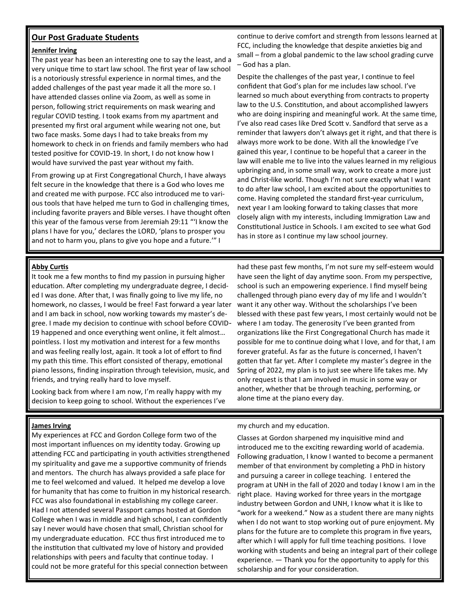#### **Our Post Graduate Students**

#### **Jennifer Irving**

The past year has been an interesting one to say the least, and a very unique time to start law school. The first year of law school is a notoriously stressful experience in normal times, and the added challenges of the past year made it all the more so. I have attended classes online via Zoom, as well as some in person, following strict requirements on mask wearing and regular COVID testing. I took exams from my apartment and presented my first oral argument while wearing not one, but two face masks. Some days I had to take breaks from my homework to check in on friends and family members who had tested positive for COVID-19. In short, I do not know how I would have survived the past year without my faith.

From growing up at First Congregational Church, I have always felt secure in the knowledge that there is a God who loves me and created me with purpose. FCC also introduced me to various tools that have helped me turn to God in challenging times, including favorite prayers and Bible verses. I have thought often this year of the famous verse from Jeremiah 29:11 "'I know the plans I have for you,' declares the LORD, 'plans to prosper you and not to harm you, plans to give you hope and a future.'" I

continue to derive comfort and strength from lessons learned at FCC, including the knowledge that despite anxieties big and small – from a global pandemic to the law school grading curve – God has a plan.

Despite the challenges of the past year, I continue to feel confident that God's plan for me includes law school. I've learned so much about everything from contracts to property law to the U.S. Constitution, and about accomplished lawyers who are doing inspiring and meaningful work. At the same time, I've also read cases like Dred Scott v. Sandford that serve as a reminder that lawyers don't always get it right, and that there is always more work to be done. With all the knowledge I've gained this year, I continue to be hopeful that a career in the law will enable me to live into the values learned in my religious upbringing and, in some small way, work to create a more just and Christ-like world. Though I'm not sure exactly what I want to do after law school, I am excited about the opportunities to come. Having completed the standard first-year curriculum, next year I am looking forward to taking classes that more closely align with my interests, including Immigration Law and Constitutional Justice in Schools. I am excited to see what God has in store as I continue my law school journey.

#### **Abby Curtis**

It took me a few months to find my passion in pursuing higher education. After completing my undergraduate degree, I decided I was done. After that, I was finally going to live my life, no homework, no classes, I would be free! Fast forward a year later and I am back in school, now working towards my master's degree. I made my decision to continue with school before COVID-19 happened and once everything went online, it felt almost… pointless. I lost my motivation and interest for a few months and was feeling really lost, again. It took a lot of effort to find my path this time. This effort consisted of therapy, emotional piano lessons, finding inspiration through television, music, and friends, and trying really hard to love myself.

Looking back from where I am now, I'm really happy with my decision to keep going to school. Without the experiences I've

#### **James Irving**

My experiences at FCC and Gordon College form two of the most important influences on my identity today. Growing up attending FCC and participating in youth activities strengthened my spirituality and gave me a supportive community of friends and mentors. The church has always provided a safe place for me to feel welcomed and valued. It helped me develop a love for humanity that has come to fruition in my historical research. FCC was also foundational in establishing my college career. Had I not attended several Passport camps hosted at Gordon College when I was in middle and high school, I can confidently say I never would have chosen that small, Christian school for my undergraduate education. FCC thus first introduced me to the institution that cultivated my love of history and provided relationships with peers and faculty that continue today. I could not be more grateful for this special connection between

had these past few months, I'm not sure my self-esteem would have seen the light of day anytime soon. From my perspective, school is such an empowering experience. I find myself being challenged through piano every day of my life and I wouldn't want it any other way. Without the scholarships I've been blessed with these past few years, I most certainly would not be where I am today. The generosity I've been granted from organizations like the First Congregational Church has made it possible for me to continue doing what I love, and for that, I am forever grateful. As far as the future is concerned, I haven't gotten that far yet. After I complete my master's degree in the Spring of 2022, my plan is to just see where life takes me. My only request is that I am involved in music in some way or another, whether that be through teaching, performing, or alone time at the piano every day.

my church and my education.

Classes at Gordon sharpened my inquisitive mind and introduced me to the exciting rewarding world of academia. Following graduation, I know I wanted to become a permanent member of that environment by completing a PhD in history and pursuing a career in college teaching. I entered the program at UNH in the fall of 2020 and today I know I am in the right place. Having worked for three years in the mortgage industry between Gordon and UNH, I know what it is like to "work for a weekend." Now as a student there are many nights when I do not want to stop working out of pure enjoyment. My plans for the future are to complete this program in five years, after which I will apply for full time teaching positions. I love working with students and being an integral part of their college experience. — Thank you for the opportunity to apply for this scholarship and for your consideration.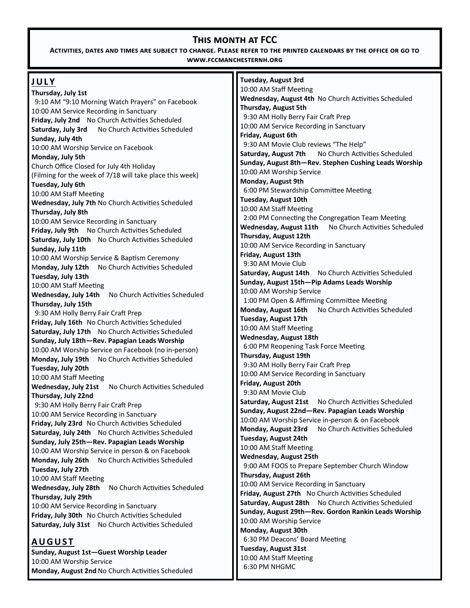## **This month at FCC**

**Activities, dates and times are subject to change. Please refer to the printed calendars by the office or go to www.fccmanchesternh.org**

| <b>JULY</b>                                              | <b>Tuesday, August 3rd</b>                                      |
|----------------------------------------------------------|-----------------------------------------------------------------|
| Thursday, July 1st                                       | 10:00 AM Staff Meeting                                          |
| 9:10 AM "9:10 Morning Watch Prayers" on Facebook         | Wednesday, August 4th No Church Activities Scheduled            |
| 10:00 AM Service Recording in Sanctuary                  | Thursday, August 5th                                            |
| Friday, July 2nd No Church Activities Scheduled          | 9:30 AM Holly Berry Fair Craft Prep                             |
| No Church Activities Scheduled<br>Saturday, July 3rd     | 10:00 AM Service Recording in Sanctuary                         |
| Sunday, July 4th                                         | Friday, August 6th                                              |
| 10:00 AM Worship Service on Facebook                     | 9:30 AM Movie Club reviews "The Help"                           |
| Monday, July 5th                                         | No Church Activities Scheduled<br>Saturday, August 7th          |
| Church Office Closed for July 4th Holiday                | Sunday, August 8th-Rev. Stephen Cushing Leads Worship           |
| (Filming for the week of 7/18 will take place this week) | 10:00 AM Worship Service                                        |
| Tuesday, July 6th                                        | Monday, August 9th                                              |
| 10:00 AM Staff Meeting                                   | 6:00 PM Stewardship Committee Meeting                           |
| Wednesday, July 7th No Church Activities Scheduled       | <b>Tuesday, August 10th</b>                                     |
| Thursday, July 8th                                       | 10:00 AM Staff Meeting                                          |
| 10:00 AM Service Recording in Sanctuary                  | 2:00 PM Connecting the Congregation Team Meeting                |
| Friday, July 9th No Church Activities Scheduled          | <b>Wednesday, August 11th</b><br>No Church Activities Scheduled |
| Saturday, July 10th No Church Activities Scheduled       | Thursday, August 12th                                           |
| Sunday, July 11th                                        | 10:00 AM Service Recording in Sanctuary                         |
| 10:00 AM Worship Service & Baptism Ceremony              | Friday, August 13th                                             |
| No Church Activities Scheduled<br>Monday, July 12th      | 9:30 AM Movie Club                                              |
| Tuesday, July 13th                                       | Saturday, August 14th<br>No Church Activities Scheduled         |
| 10:00 AM Staff Meeting                                   | Sunday, August 15th-Pip Adams Leads Worship                     |
| No Church Activities Scheduled<br>Wednesday, July 14th   | 10:00 AM Worship Service                                        |
| Thursday, July 15th                                      | 1:00 PM Open & Affirming Committee Meeting                      |
| 9:30 AM Holly Berry Fair Craft Prep                      | Monday, August 16th<br>No Church Activities Scheduled           |
| Friday, July 16th No Church Activities Scheduled         | Tuesday, August 17th                                            |
| Saturday, July 17th No Church Activities Scheduled       | 10:00 AM Staff Meeting                                          |
| Sunday, July 18th-Rev. Papagian Leads Worship            | <b>Wednesday, August 18th</b>                                   |
| 10:00 AM Worship Service on Facebook (no in-person)      | 6:00 PM Reopening Task Force Meeting                            |
| No Church Activities Scheduled<br>Monday, July 19th      | Thursday, August 19th                                           |
| Tuesday, July 20th                                       | 9:30 AM Holly Berry Fair Craft Prep                             |
| 10:00 AM Staff Meeting                                   | 10:00 AM Service Recording in Sanctuary                         |
| No Church Activities Scheduled<br>Wednesday, July 21st   | Friday, August 20th                                             |
| Thursday, July 22nd                                      | 9:30 AM Movie Club                                              |
| 9:30 AM Holly Berry Fair Craft Prep                      | Saturday, August 21st<br>No Church Activities Scheduled         |
| 10:00 AM Service Recording in Sanctuary                  | Sunday, August 22nd-Rev. Papagian Leads Worship                 |
| Friday, July 23rd No Church Activities Scheduled         | 10:00 AM Worship Service in-person & on Facebook                |
| Saturday, July 24th No Church Activities Scheduled       | Monday, August 23rd<br>No Church Activities Scheduled           |
| Sunday, July 25th-Rev. Papagian Leads Worship            | Tuesday, August 24th                                            |
| 10:00 AM Worship Service in person & on Facebook         | 10:00 AM Staff Meeting                                          |
| No Church Activities Scheduled<br>Monday, July 26th      | <b>Wednesday, August 25th</b>                                   |
| Tuesday, July 27th                                       | 9:00 AM FOOS to Prepare September Church Window                 |
| 10:00 AM Staff Meeting                                   | Thursday, August 26th                                           |
| Wednesday, July 28th<br>No Church Activities Scheduled   | 10:00 AM Service Recording in Sanctuary                         |
| Thursday, July 29th                                      | Friday, August 27th No Church Activities Scheduled              |
| 10:00 AM Service Recording in Sanctuary                  | Saturday, August 28th No Church Activities Scheduled            |
| Friday, July 30th No Church Activities Scheduled         | Sunday, August 29th-Rev. Gordon Rankin Leads Worship            |
| Saturday, July 31st No Church Activities Scheduled       | 10:00 AM Worship Service                                        |
|                                                          | Monday, August 30th                                             |
| <b>AUGUST</b>                                            | 6:30 PM Deacons' Board Meeting                                  |
| Sunday, August 1st-Guest Worship Leader                  | <b>Tuesday, August 31st</b>                                     |
| 10:00 AM Worship Service                                 | 10:00 AM Staff Meeting                                          |
| Monday, August 2nd No Church Activities Scheduled        | 6:30 PM NHGMC                                                   |
|                                                          |                                                                 |